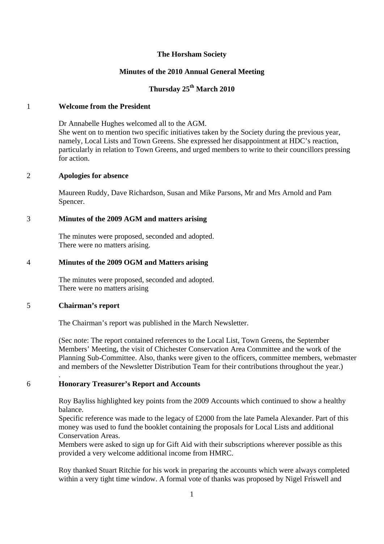#### **The Horsham Society**

# **Minutes of the 2010 Annual General Meeting**

# **Thursday 25th March 2010**

# 1 **Welcome from the President**

Dr Annabelle Hughes welcomed all to the AGM.

She went on to mention two specific initiatives taken by the Society during the previous year, namely, Local Lists and Town Greens. She expressed her disappointment at HDC's reaction, particularly in relation to Town Greens, and urged members to write to their councillors pressing for action.

# 2 **Apologies for absence**

Maureen Ruddy, Dave Richardson, Susan and Mike Parsons, Mr and Mrs Arnold and Pam Spencer.

# 3 **Minutes of the 2009 AGM and matters arising**

The minutes were proposed, seconded and adopted. There were no matters arising.

### 4 **Minutes of the 2009 OGM and Matters arising**

The minutes were proposed, seconded and adopted. There were no matters arising

#### 5 **Chairman's report**

.

The Chairman's report was published in the March Newsletter.

(Sec note: The report contained references to the Local List, Town Greens, the September Members' Meeting, the visit of Chichester Conservation Area Committee and the work of the Planning Sub-Committee. Also, thanks were given to the officers, committee members, webmaster and members of the Newsletter Distribution Team for their contributions throughout the year.)

# 6 **Honorary Treasurer's Report and Accounts**

Roy Bayliss highlighted key points from the 2009 Accounts which continued to show a healthy balance.

Specific reference was made to the legacy of £2000 from the late Pamela Alexander. Part of this money was used to fund the booklet containing the proposals for Local Lists and additional Conservation Areas.

Members were asked to sign up for Gift Aid with their subscriptions wherever possible as this provided a very welcome additional income from HMRC.

Roy thanked Stuart Ritchie for his work in preparing the accounts which were always completed within a very tight time window. A formal vote of thanks was proposed by Nigel Friswell and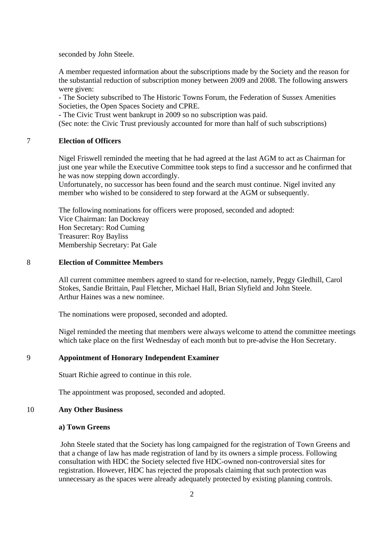seconded by John Steele.

A member requested information about the subscriptions made by the Society and the reason for the substantial reduction of subscription money between 2009 and 2008. The following answers were given:

- The Society subscribed to The Historic Towns Forum, the Federation of Sussex Amenities Societies, the Open Spaces Society and CPRE.

- The Civic Trust went bankrupt in 2009 so no subscription was paid.

(Sec note: the Civic Trust previously accounted for more than half of such subscriptions)

### 7 **Election of Officers**

Nigel Friswell reminded the meeting that he had agreed at the last AGM to act as Chairman for just one year while the Executive Committee took steps to find a successor and he confirmed that he was now stepping down accordingly.

Unfortunately, no successor has been found and the search must continue. Nigel invited any member who wished to be considered to step forward at the AGM or subsequently.

The following nominations for officers were proposed, seconded and adopted: Vice Chairman: Ian Dockreay Hon Secretary: Rod Cuming Treasurer: Roy Bayliss Membership Secretary: Pat Gale

### 8 **Election of Committee Members**

All current committee members agreed to stand for re-election, namely, Peggy Gledhill, Carol Stokes, Sandie Brittain, Paul Fletcher, Michael Hall, Brian Slyfield and John Steele. Arthur Haines was a new nominee.

The nominations were proposed, seconded and adopted.

Nigel reminded the meeting that members were always welcome to attend the committee meetings which take place on the first Wednesday of each month but to pre-advise the Hon Secretary.

### 9 **Appointment of Honorary Independent Examiner**

Stuart Richie agreed to continue in this role.

The appointment was proposed, seconded and adopted.

#### 10 **Any Other Business**

#### **a) Town Greens**

 John Steele stated that the Society has long campaigned for the registration of Town Greens and that a change of law has made registration of land by its owners a simple process. Following consultation with HDC the Society selected five HDC-owned non-controversial sites for registration. However, HDC has rejected the proposals claiming that such protection was unnecessary as the spaces were already adequately protected by existing planning controls.